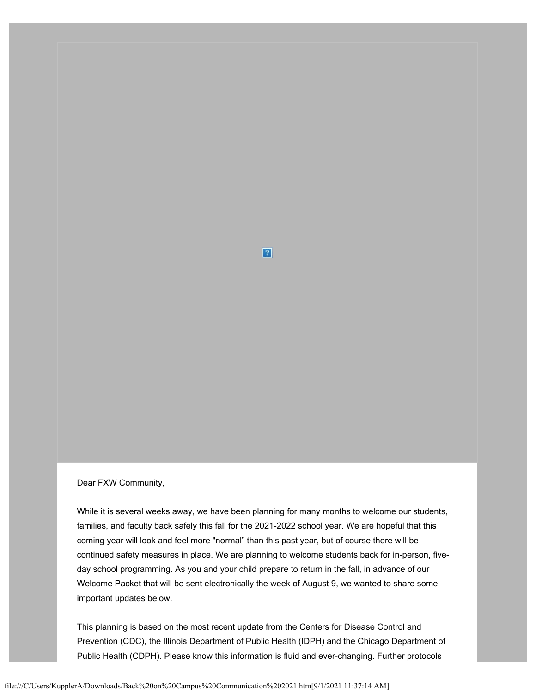#### Dear FXW Community,

While it is several weeks away, we have been planning for many months to welcome our students, families, and faculty back safely this fall for the 2021-2022 school year. We are hopeful that this coming year will look and feel more "normal" than this past year, but of course there will be continued safety measures in place. We are planning to welcome students back for in-person, fiveday school programming. As you and your child prepare to return in the fall, in advance of our Welcome Packet that will be sent electronically the week of August 9, we wanted to share some important updates below.

 $\boxed{?}$ 

This planning is based on the most recent update from the Centers for Disease Control and Prevention (CDC), the Illinois Department of Public Health (IDPH) and the Chicago Department of Public Health (CDPH). Please know this information is fluid and ever-changing. Further protocols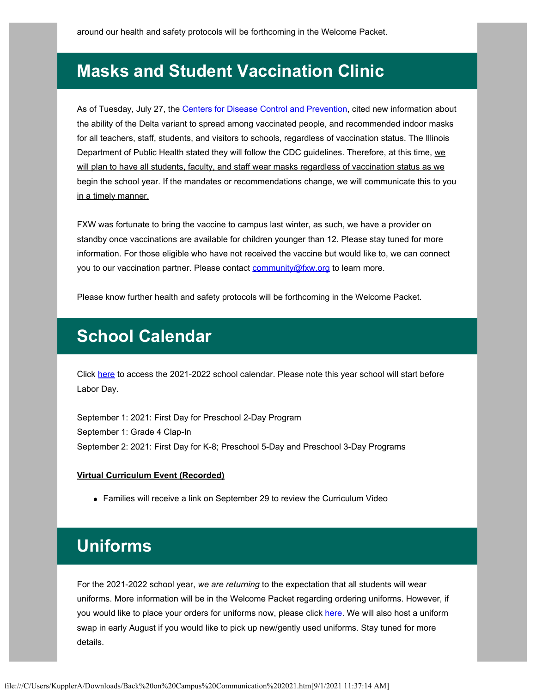## **Masks and Student Vaccination Clinic**

As of Tuesday, July 27, the [Centers for Disease Control and Prevention](https://nam12.safelinks.protection.outlook.com/?url=https%3A%2F%2Fwww.chicagotribune.com%2Fcoronavirus%2Fct-aud-nw-covid-schools-guidelines-masks-cdc-20210709-r2entuybyvf7dguhtqsxh7aijy-story.html%3Futm_source%3Dnewsletter%26utm_medium%3Demail%26utm_campaign%3DBreaking%2520News%26utm_content%3D861625844061%23nws%3Dtrue&data=04%7C01%7C%7Cfd8e9d009b7c4ee0b2b808d943032669%7C472a37efea8d4cf5b7a96872e24cd413%7C0%7C0%7C637614503067930742%7CUnknown%7CTWFpbGZsb3d8eyJWIjoiMC4wLjAwMDAiLCJQIjoiV2luMzIiLCJBTiI6Ik1haWwiLCJXVCI6Mn0%3D%7C1000&sdata=vQ0Fd3ItQZG7HeQ9%2BDCiOYdB4y%2Fy2zF4iXH6O7IWD%2FU%3D&reserved=0), cited new information about the ability of the Delta variant to spread among vaccinated people, and recommended indoor masks for all teachers, staff, students, and visitors to schools, regardless of vaccination status. The Illinois Department of Public Health stated they will follow the CDC guidelines. Therefore, at this time, we will plan to have all students, faculty, and staff wear masks regardless of vaccination status as we begin the school year. If the mandates or recommendations change, we will communicate this to you in a timely manner.

FXW was fortunate to bring the vaccine to campus last winter, as such, we have a provider on standby once vaccinations are available for children younger than 12. Please stay tuned for more information. For those eligible who have not received the vaccine but would like to, we can connect you to our vaccination partner. Please contact [community@fxw.org](mailto:community@fxw.org) to learn more.

Please know further health and safety protocols will be forthcoming in the Welcome Packet.

### **School Calendar**

Click [here](https://www.fxw.org/wp-content/uploads/2021/06/FXW-21-22-Family-Calendar.pdf) to access the 2021-2022 school calendar. Please note this year school will start before Labor Day.

September 1: 2021: First Day for Preschool 2-Day Program September 1: Grade 4 Clap-In September 2: 2021: First Day for K-8; Preschool 5-Day and Preschool 3-Day Programs

#### **Virtual Curriculum Event (Recorded)**

Families will receive a link on September 29 to review the Curriculum Video

# **Uniforms**

For the 2021-2022 school year, *we are returning* to the expectation that all students will wear uniforms. More information will be in the Welcome Packet regarding ordering uniforms. However, if you would like to place your orders for uniforms now, please click [here.](https://www.fxw.org/wp-content/uploads/2021/07/2021-2022-Uniform-Information-REV.pdf) We will also host a uniform swap in early August if you would like to pick up new/gently used uniforms. Stay tuned for more details.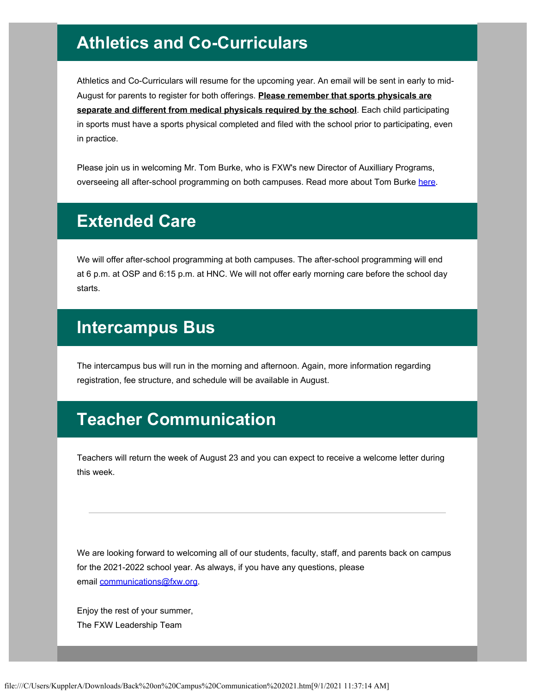# **Athletics and Co-Curriculars**

Athletics and Co-Curriculars will resume for the upcoming year. An email will be sent in early to mid-August for parents to register for both offerings. **Please remember that sports physicals are separate and different from medical physicals required by the school**. Each child participating in sports must have a sports physical completed and filed with the school prior to participating, even in practice.

Please join us in welcoming Mr. Tom Burke, who is FXW's new Director of Auxilliary Programs, overseeing all after-school programming on both campuses. Read more about Tom Burke [here.](https://www.fxw.org/wp-content/uploads/2021/07/Tom-Burke-bio1.pdf)

### **Extended Care**

We will offer after-school programming at both campuses. The after-school programming will end at 6 p.m. at OSP and 6:15 p.m. at HNC. We will not offer early morning care before the school day starts.

#### **Intercampus Bus**

The intercampus bus will run in the morning and afternoon. Again, more information regarding registration, fee structure, and schedule will be available in August.

# **Teacher Communication**

Teachers will return the week of August 23 and you can expect to receive a welcome letter during this week.

We are looking forward to welcoming all of our students, faculty, staff, and parents back on campus for the 2021-2022 school year. As always, if you have any questions, please email [communications@fxw.org.](mailto:communications@fxw.org)

Enjoy the rest of your summer, The FXW Leadership Team